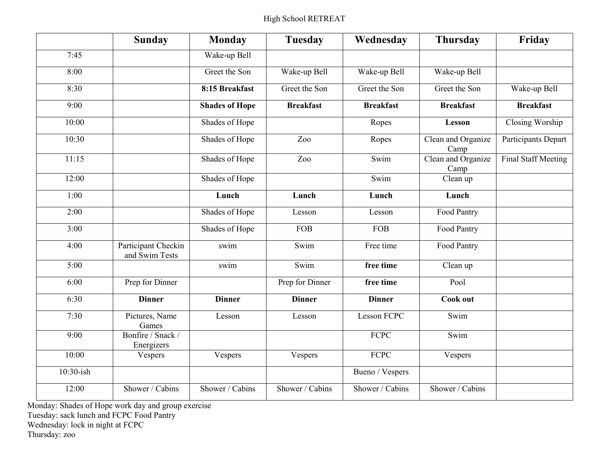## High School RETREAT

|           | <b>Sunday</b>                         | <b>Monday</b>         | <b>Tuesday</b>   | Wednesday          | <b>Thursday</b>            | Friday              |
|-----------|---------------------------------------|-----------------------|------------------|--------------------|----------------------------|---------------------|
| 7:45      |                                       | Wake-up Bell          |                  |                    |                            |                     |
| 8:00      |                                       | Greet the Son         | Wake-up Bell     | Wake-up Bell       | Wake-up Bell               |                     |
| 8:30      |                                       | 8:15 Breakfast        | Greet the Son    | Greet the Son      | Greet the Son              | Wake-up Bell        |
| 9:00      |                                       | <b>Shades of Hope</b> | <b>Breakfast</b> | <b>Breakfast</b>   | <b>Breakfast</b>           | <b>Breakfast</b>    |
| 10:00     |                                       | Shades of Hope        |                  | Ropes              | Lesson                     | Closing Worship     |
| 10:30     |                                       | Shades of Hope        | Zoo              | Ropes              | Clean and Organize<br>Camp | Participants Depart |
| 11:15     |                                       | Shades of Hope        | Zoo              | Swim               | Clean and Organize<br>Camp | Final Staff Meeting |
| 12:00     |                                       | Shades of Hope        |                  | Swim               | Clean up                   |                     |
| 1:00      |                                       | Lunch                 | Lunch            | Lunch              | Lunch                      |                     |
| 2:00      |                                       | Shades of Hope        | Lesson           | Lesson             | Food Pantry                |                     |
| 3:00      |                                       | Shades of Hope        | <b>FOB</b>       | <b>FOB</b>         | Food Pantry                |                     |
| 4:00      | Participant Checkin<br>and Swim Tests | swim                  | Swim             | Free time          | Food Pantry                |                     |
| 5:00      |                                       | swim                  | Swim             | free time          | Clean up                   |                     |
| 6:00      | Prep for Dinner                       |                       | Prep for Dinner  | free time          | Pool                       |                     |
| 6:30      | <b>Dinner</b>                         | <b>Dinner</b>         | <b>Dinner</b>    | <b>Dinner</b>      | Cook out                   |                     |
| 7:30      | Pictures, Name<br>Games               | Lesson                | Lesson           | <b>Lesson FCPC</b> | Swim                       |                     |
| 9:00      | Bonfire / Snack /<br>Energizers       |                       |                  | <b>FCPC</b>        | Swim                       |                     |
| 10:00     | Vespers                               | Vespers               | Vespers          | FCPC               | Vespers                    |                     |
| 10:30-ish |                                       |                       |                  | Bueno / Vespers    |                            |                     |
| 12:00     | Shower / Cabins                       | Shower / Cabins       | Shower / Cabins  | Shower / Cabins    | Shower / Cabins            |                     |

Monday: Shades of Hope work day and group exercise Tuesday: sack lunch and FCPC Food Pantry Wednesday: lock in night at FCPC Thursday: zoo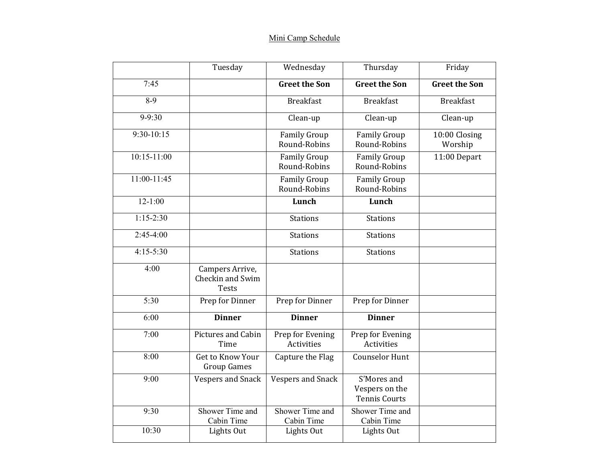## Mini Camp Schedule

|                 | Tuesday                                             | Wednesday                             | Thursday                                              | Friday                   |
|-----------------|-----------------------------------------------------|---------------------------------------|-------------------------------------------------------|--------------------------|
| 7:45            |                                                     | <b>Greet the Son</b>                  | <b>Greet the Son</b>                                  | <b>Greet the Son</b>     |
| $8-9$           |                                                     | <b>Breakfast</b>                      | <b>Breakfast</b>                                      | <b>Breakfast</b>         |
| $9 - 9:30$      |                                                     | Clean-up                              | Clean-up                                              | Clean-up                 |
| $9:30-10:15$    |                                                     | <b>Family Group</b><br>Round-Robins   | <b>Family Group</b><br>Round-Robins                   | 10:00 Closing<br>Worship |
| $10:15 - 11:00$ |                                                     | <b>Family Group</b><br>Round-Robins   | <b>Family Group</b><br>Round-Robins                   | 11:00 Depart             |
| $11:00-11:45$   |                                                     | <b>Family Group</b><br>Round-Robins   | <b>Family Group</b><br>Round-Robins                   |                          |
| $12 - 1:00$     |                                                     | Lunch                                 | Lunch                                                 |                          |
| $1:15-2:30$     |                                                     | <b>Stations</b>                       | <b>Stations</b>                                       |                          |
| $2:45-4:00$     |                                                     | <b>Stations</b>                       | <b>Stations</b>                                       |                          |
| $4:15-5:30$     |                                                     | <b>Stations</b>                       | <b>Stations</b>                                       |                          |
| 4:00            | Campers Arrive,<br>Checkin and Swim<br><b>Tests</b> |                                       |                                                       |                          |
| 5:30            | Prep for Dinner                                     | Prep for Dinner                       | Prep for Dinner                                       |                          |
| 6:00            | <b>Dinner</b>                                       | <b>Dinner</b>                         | <b>Dinner</b>                                         |                          |
| 7:00            | Pictures and Cabin<br>Time                          | Prep for Evening<br><b>Activities</b> | Prep for Evening<br><b>Activities</b>                 |                          |
| 8:00            | Get to Know Your<br><b>Group Games</b>              | Capture the Flag                      | <b>Counselor Hunt</b>                                 |                          |
| 9:00            | <b>Vespers and Snack</b>                            | <b>Vespers and Snack</b>              | S'Mores and<br>Vespers on the<br><b>Tennis Courts</b> |                          |
| 9:30            | Shower Time and<br>Cabin Time                       | Shower Time and<br>Cabin Time         | Shower Time and<br>Cabin Time                         |                          |
| 10:30           | Lights Out                                          | Lights Out                            | Lights Out                                            |                          |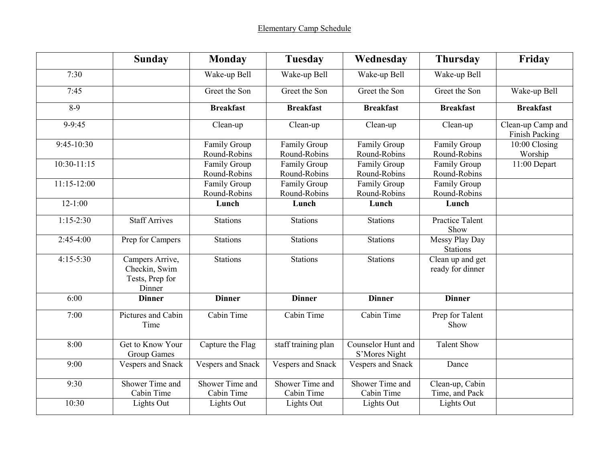|               | <b>Sunday</b>                                                 | <b>Monday</b>                 | <b>Tuesday</b>                | Wednesday                           | <b>Thursday</b>                      | Friday                              |
|---------------|---------------------------------------------------------------|-------------------------------|-------------------------------|-------------------------------------|--------------------------------------|-------------------------------------|
| 7:30          |                                                               | Wake-up Bell                  | Wake-up Bell                  | Wake-up Bell                        | Wake-up Bell                         |                                     |
| 7:45          |                                                               | Greet the Son                 | Greet the Son                 | Greet the Son                       | Greet the Son                        | Wake-up Bell                        |
| $8-9$         |                                                               | <b>Breakfast</b>              | <b>Breakfast</b>              | <b>Breakfast</b>                    | <b>Breakfast</b>                     | <b>Breakfast</b>                    |
| $9-9:45$      |                                                               | Clean-up                      | Clean-up                      | Clean-up                            | Clean-up                             | Clean-up Camp and<br>Finish Packing |
| 9:45-10:30    |                                                               | Family Group<br>Round-Robins  | Family Group<br>Round-Robins  | Family Group<br>Round-Robins        | Family Group<br>Round-Robins         | 10:00 Closing<br>Worship            |
| $10:30-11:15$ |                                                               | Family Group<br>Round-Robins  | Family Group<br>Round-Robins  | <b>Family Group</b><br>Round-Robins | Family Group<br>Round-Robins         | 11:00 Depart                        |
| $11:15-12:00$ |                                                               | Family Group<br>Round-Robins  | Family Group<br>Round-Robins  | Family Group<br>Round-Robins        | Family Group<br>Round-Robins         |                                     |
| $12 - 1:00$   |                                                               | Lunch                         | Lunch                         | Lunch                               | Lunch                                |                                     |
| $1:15-2:30$   | <b>Staff Arrives</b>                                          | <b>Stations</b>               | <b>Stations</b>               | <b>Stations</b>                     | <b>Practice Talent</b><br>Show       |                                     |
| $2:45-4:00$   | Prep for Campers                                              | <b>Stations</b>               | <b>Stations</b>               | <b>Stations</b>                     | Messy Play Day<br><b>Stations</b>    |                                     |
| $4:15-5:30$   | Campers Arrive,<br>Checkin, Swim<br>Tests, Prep for<br>Dinner | <b>Stations</b>               | <b>Stations</b>               | <b>Stations</b>                     | Clean up and get<br>ready for dinner |                                     |
| 6:00          | <b>Dinner</b>                                                 | <b>Dinner</b>                 | <b>Dinner</b>                 | <b>Dinner</b>                       | <b>Dinner</b>                        |                                     |
| 7:00          | Pictures and Cabin<br>Time                                    | Cabin Time                    | Cabin Time                    | Cabin Time                          | Prep for Talent<br>Show              |                                     |
| 8:00          | Get to Know Your<br><b>Group Games</b>                        | Capture the Flag              | staff training plan           | Counselor Hunt and<br>S'Mores Night | <b>Talent Show</b>                   |                                     |
| 9:00          | Vespers and Snack                                             | Vespers and Snack             | Vespers and Snack             | Vespers and Snack                   | Dance                                |                                     |
| 9:30          | Shower Time and<br>Cabin Time                                 | Shower Time and<br>Cabin Time | Shower Time and<br>Cabin Time | Shower Time and<br>Cabin Time       | Clean-up, Cabin<br>Time, and Pack    |                                     |
| 10:30         | Lights Out                                                    | Lights Out                    | Lights Out                    | Lights Out                          | Lights Out                           |                                     |